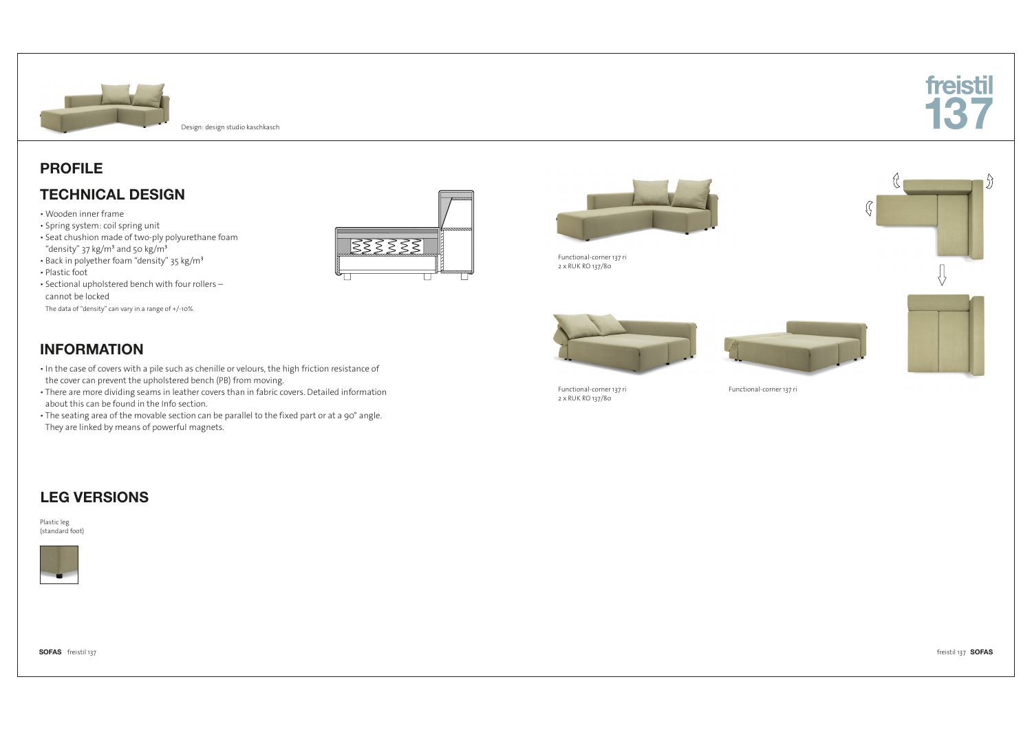

 $\mathcal{L}$ 

Design: design studio kaschkasch

### PROFILE

### TECHNICAL DESIGN

- Wooden inner frame
- Spring system: coil spring unit ▪ Seat chushion made of two-ply polyurethane foam "density" 37 kg/m<sup>3</sup> and 50 kg/m<sup>3</sup>
- · Back in polyether foam "density" 35 kg/m<sup>3</sup>
- Plastic foot
- Sectional upholstered bench with four rollers cannot be locked
- The data of "density" can vary in a range of +/-10%.





Functional-corner 137 ri 2 x RUK RO 137/80







Ţ,

Functional-corner 137 ri 2 x RUK RO 137/80

Functional-corner 137 ri

# INFORMATION

- In the case of covers with a pile such as chenille or velours, the high friction resistance of the cover can prevent the upholstered bench (PB) from moving.
- . There are more dividing seams in leather covers than in fabric covers. Detailed information about this can be found in the Info section.
- The seating area of the movable section can be parallel to the fixed part or at a 90° angle. They are linked by means of powerful magnets.

### LEG VERSIONS

Plastic leg (standard foot)



SOFAS freistil 137 freistil 137 SOFAS